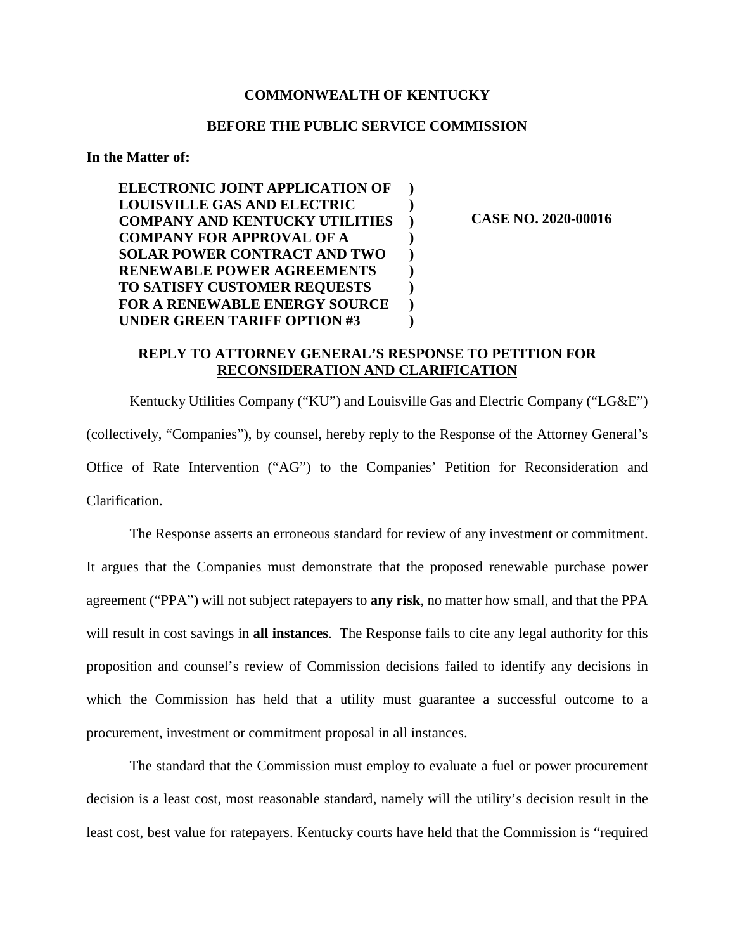## **COMMONWEALTH OF KENTUCKY**

## **BEFORE THE PUBLIC SERVICE COMMISSION**

**In the Matter of:** 

 **ELECTRONIC JOINT APPLICATION OF LOUISVILLE GAS AND ELECTRIC COMPANY AND KENTUCKY UTILITIES COMPANY FOR APPROVAL OF A SOLAR POWER CONTRACT AND TWO RENEWABLE POWER AGREEMENTS TO SATISFY CUSTOMER REQUESTS FOR A RENEWABLE ENERGY SOURCE UNDER GREEN TARIFF OPTION #3 ) ) ) ) ) ) ) ) )** 

**CASE NO. 2020-00016** 

## **REPLY TO ATTORNEY GENERAL'S RESPONSE TO PETITION FOR RECONSIDERATION AND CLARIFICATION**

Kentucky Utilities Company ("KU") and Louisville Gas and Electric Company ("LG&E") (collectively, "Companies"), by counsel, hereby reply to the Response of the Attorney General's Office of Rate Intervention ("AG") to the Companies' Petition for Reconsideration and Clarification.

The Response asserts an erroneous standard for review of any investment or commitment. It argues that the Companies must demonstrate that the proposed renewable purchase power agreement ("PPA") will not subject ratepayers to **any risk**, no matter how small, and that the PPA will result in cost savings in **all instances**. The Response fails to cite any legal authority for this proposition and counsel's review of Commission decisions failed to identify any decisions in which the Commission has held that a utility must guarantee a successful outcome to a procurement, investment or commitment proposal in all instances.

The standard that the Commission must employ to evaluate a fuel or power procurement decision is a least cost, most reasonable standard, namely will the utility's decision result in the least cost, best value for ratepayers. Kentucky courts have held that the Commission is "required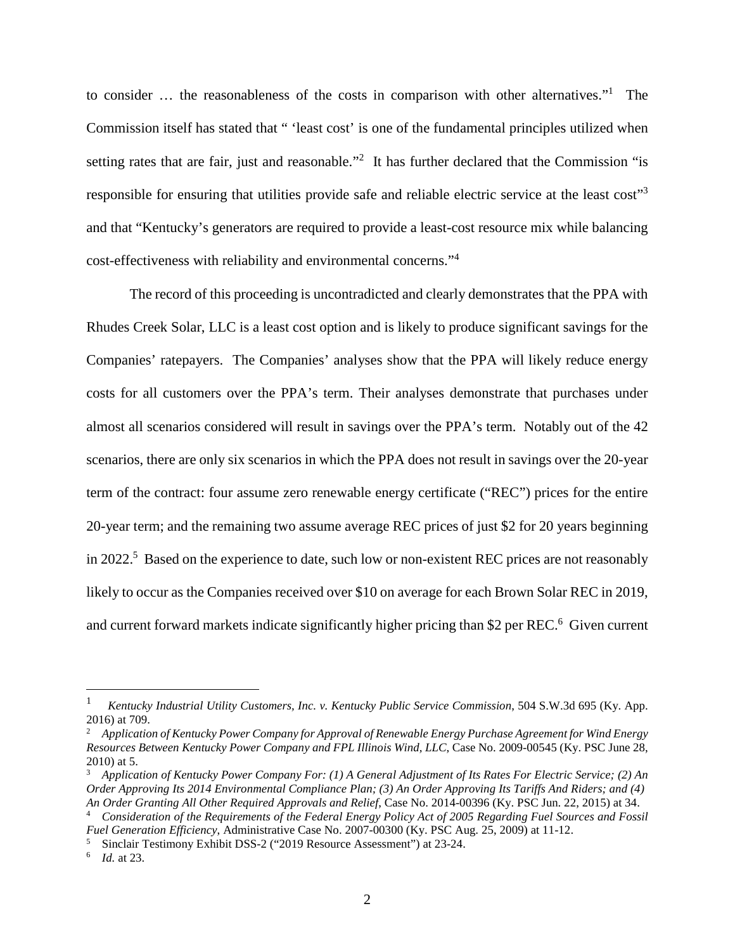to consider ... the reasonableness of the costs in comparison with other alternatives."<sup>1</sup> The Commission itself has stated that " 'least cost' is one of the fundamental principles utilized when setting rates that are fair, just and reasonable."<sup>2</sup> It has further declared that the Commission "is responsible for ensuring that utilities provide safe and reliable electric service at the least cost"<sup>3</sup> and that "Kentucky's generators are required to provide a least-cost resource mix while balancing cost-effectiveness with reliability and environmental concerns."<sup>4</sup>

The record of this proceeding is uncontradicted and clearly demonstrates that the PPA with Rhudes Creek Solar, LLC is a least cost option and is likely to produce significant savings for the Companies' ratepayers. The Companies' analyses show that the PPA will likely reduce energy costs for all customers over the PPA's term. Their analyses demonstrate that purchases under almost all scenarios considered will result in savings over the PPA's term. Notably out of the 42 scenarios, there are only six scenarios in which the PPA does not result in savings over the 20-year term of the contract: four assume zero renewable energy certificate ("REC") prices for the entire 20-year term; and the remaining two assume average REC prices of just \$2 for 20 years beginning in 2022.<sup>5</sup> Based on the experience to date, such low or non-existent REC prices are not reasonably likely to occur as the Companies received over \$10 on average for each Brown Solar REC in 2019, and current forward markets indicate significantly higher pricing than \$2 per REC.<sup>6</sup> Given current

<sup>1</sup> *Kentucky Industrial Utility Customers, Inc. v. Kentucky Public Service Commission*, 504 S.W.3d 695 (Ky. App. 2016) at 709.

<sup>2</sup> *Application of Kentucky Power Company for Approval of Renewable Energy Purchase Agreement for Wind Energy Resources Between Kentucky Power Company and FPL Illinois Wind, LLC*, Case No. 2009-00545 (Ky. PSC June 28, 2010) at 5.

<sup>3</sup> *Application of Kentucky Power Company For: (1) A General Adjustment of Its Rates For Electric Service; (2) An Order Approving Its 2014 Environmental Compliance Plan; (3) An Order Approving Its Tariffs And Riders; and (4) An Order Granting All Other Required Approvals and Relief*, Case No. 2014-00396 (Ky. PSC Jun. 22, 2015) at 34. <sup>4</sup> *Consideration of the Requirements of the Federal Energy Policy Act of 2005 Regarding Fuel Sources and Fossil* 

*Fuel Generation Efficiency*, Administrative Case No. 2007-00300 (Ky. PSC Aug. 25, 2009) at 11-12.

<sup>5</sup> Sinclair Testimony Exhibit DSS-2 ("2019 Resource Assessment") at 23-24.

<sup>6</sup> *Id.* at 23.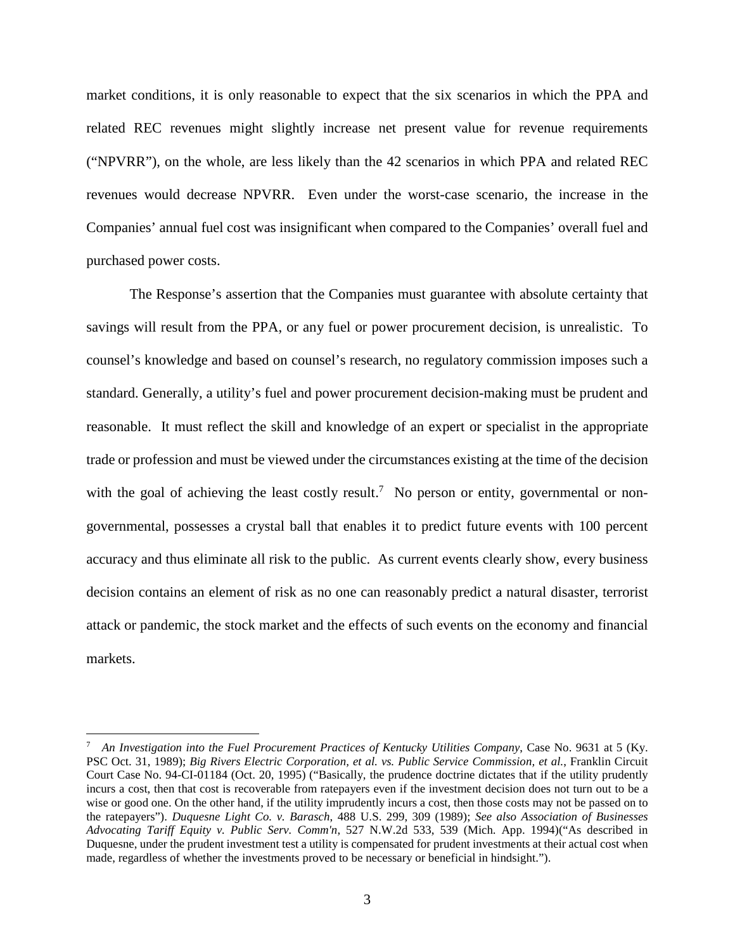market conditions, it is only reasonable to expect that the six scenarios in which the PPA and related REC revenues might slightly increase net present value for revenue requirements ("NPVRR"), on the whole, are less likely than the 42 scenarios in which PPA and related REC revenues would decrease NPVRR. Even under the worst-case scenario, the increase in the Companies' annual fuel cost was insignificant when compared to the Companies' overall fuel and purchased power costs.

The Response's assertion that the Companies must guarantee with absolute certainty that savings will result from the PPA, or any fuel or power procurement decision, is unrealistic. To counsel's knowledge and based on counsel's research, no regulatory commission imposes such a standard. Generally, a utility's fuel and power procurement decision-making must be prudent and reasonable. It must reflect the skill and knowledge of an expert or specialist in the appropriate trade or profession and must be viewed under the circumstances existing at the time of the decision with the goal of achieving the least costly result.<sup>7</sup> No person or entity, governmental or nongovernmental, possesses a crystal ball that enables it to predict future events with 100 percent accuracy and thus eliminate all risk to the public. As current events clearly show, every business decision contains an element of risk as no one can reasonably predict a natural disaster, terrorist attack or pandemic, the stock market and the effects of such events on the economy and financial markets.

<sup>7</sup> *An Investigation into the Fuel Procurement Practices of Kentucky Utilities Company*, Case No. 9631 at 5 (Ky. PSC Oct. 31, 1989); *Big Rivers Electric Corporation, et al. vs. Public Service Commission, et al.*, Franklin Circuit Court Case No. 94-CI-01184 (Oct. 20, 1995) ("Basically, the prudence doctrine dictates that if the utility prudently incurs a cost, then that cost is recoverable from ratepayers even if the investment decision does not turn out to be a wise or good one. On the other hand, if the utility imprudently incurs a cost, then those costs may not be passed on to the ratepayers"). *Duquesne Light Co. v. Barasch*, 488 U.S. 299, 309 (1989); *See also Association of Businesses Advocating Tariff Equity v. Public Serv. Comm'n*, 527 N.W.2d 533, 539 (Mich. App. 1994)("As described in Duquesne, under the prudent investment test a utility is compensated for prudent investments at their actual cost when made, regardless of whether the investments proved to be necessary or beneficial in hindsight.").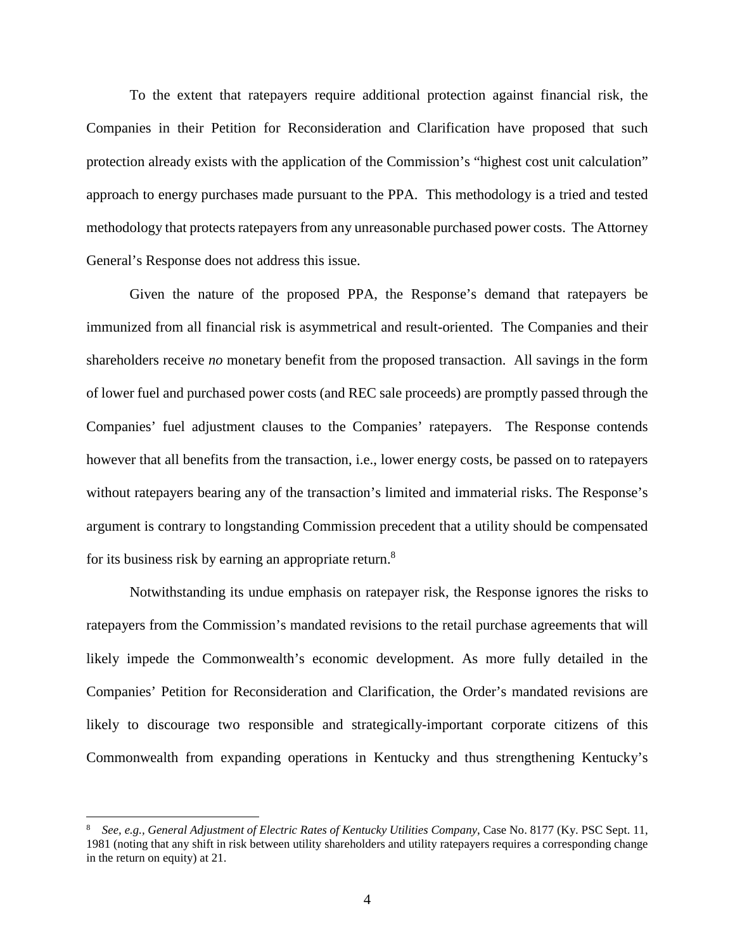To the extent that ratepayers require additional protection against financial risk, the Companies in their Petition for Reconsideration and Clarification have proposed that such protection already exists with the application of the Commission's "highest cost unit calculation" approach to energy purchases made pursuant to the PPA. This methodology is a tried and tested methodology that protects ratepayers from any unreasonable purchased power costs. The Attorney General's Response does not address this issue.

Given the nature of the proposed PPA, the Response's demand that ratepayers be immunized from all financial risk is asymmetrical and result-oriented. The Companies and their shareholders receive *no* monetary benefit from the proposed transaction. All savings in the form of lower fuel and purchased power costs (and REC sale proceeds) are promptly passed through the Companies' fuel adjustment clauses to the Companies' ratepayers. The Response contends however that all benefits from the transaction, i.e., lower energy costs, be passed on to ratepayers without ratepayers bearing any of the transaction's limited and immaterial risks. The Response's argument is contrary to longstanding Commission precedent that a utility should be compensated for its business risk by earning an appropriate return.<sup>8</sup>

Notwithstanding its undue emphasis on ratepayer risk, the Response ignores the risks to ratepayers from the Commission's mandated revisions to the retail purchase agreements that will likely impede the Commonwealth's economic development. As more fully detailed in the Companies' Petition for Reconsideration and Clarification, the Order's mandated revisions are likely to discourage two responsible and strategically-important corporate citizens of this Commonwealth from expanding operations in Kentucky and thus strengthening Kentucky's

<sup>8</sup> *See, e.g., General Adjustment of Electric Rates of Kentucky Utilities Company*, Case No. 8177 (Ky. PSC Sept. 11, 1981 (noting that any shift in risk between utility shareholders and utility ratepayers requires a corresponding change in the return on equity) at 21.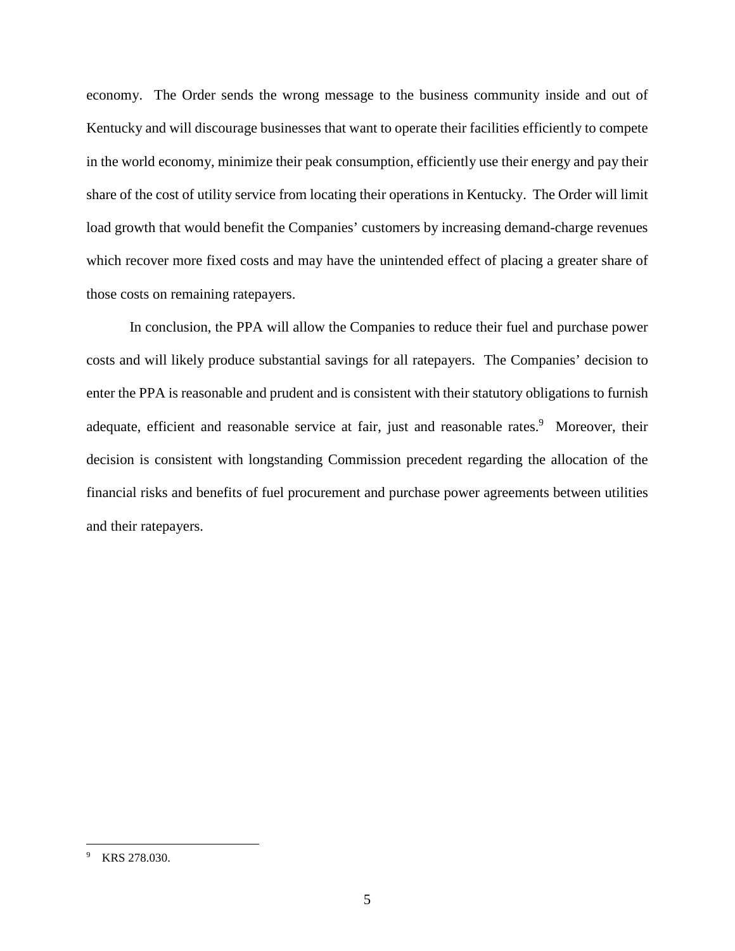economy. The Order sends the wrong message to the business community inside and out of Kentucky and will discourage businesses that want to operate their facilities efficiently to compete in the world economy, minimize their peak consumption, efficiently use their energy and pay their share of the cost of utility service from locating their operations in Kentucky. The Order will limit load growth that would benefit the Companies' customers by increasing demand-charge revenues which recover more fixed costs and may have the unintended effect of placing a greater share of those costs on remaining ratepayers.

In conclusion, the PPA will allow the Companies to reduce their fuel and purchase power costs and will likely produce substantial savings for all ratepayers. The Companies' decision to enter the PPA is reasonable and prudent and is consistent with their statutory obligations to furnish adequate, efficient and reasonable service at fair, just and reasonable rates.<sup>9</sup> Moreover, their decision is consistent with longstanding Commission precedent regarding the allocation of the financial risks and benefits of fuel procurement and purchase power agreements between utilities and their ratepayers.

<sup>9</sup> KRS 278.030.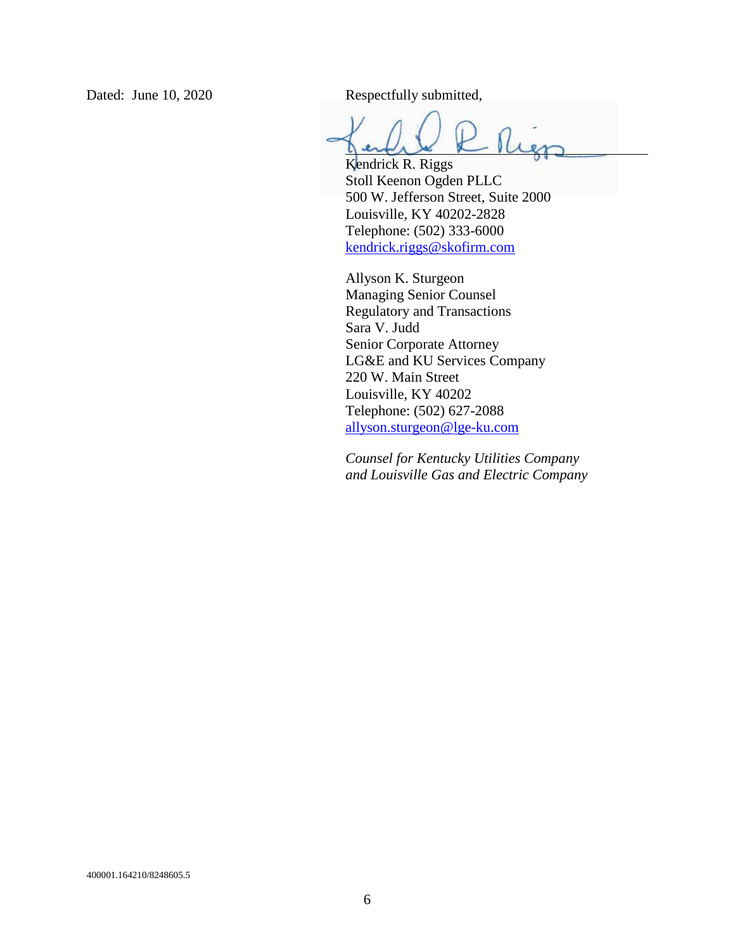Dated: June 10, 2020 Respectfully submitted,

Kendrick R. Riggs Stoll Keenon Ogden PLLC 500 W. Jefferson Street, Suite 2000 Louisville, KY 40202-2828 Telephone: (502) 333-6000 kendrick.riggs@skofirm.com

Allyson K. Sturgeon Managing Senior Counsel Regulatory and Transactions Sara V. Judd Senior Corporate Attorney LG&E and KU Services Company 220 W. Main Street Louisville, KY 40202 Telephone: (502) 627-2088 allyson.sturgeon@lge-ku.com

*Counsel for Kentucky Utilities Company and Louisville Gas and Electric Company*